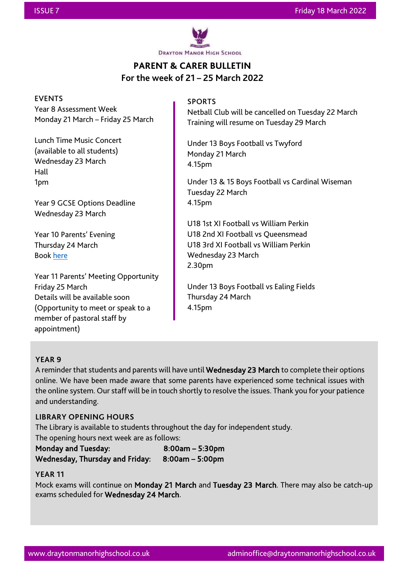

# **PARENT & CARER BULLETIN For the week of 21 – 25 March 2022**

#### EVENTS

Year 8 Assessment Week Monday 21 March – Friday 25 March

Lunch Time Music Concert (available to all students) Wednesday 23 March Hall 1pm

Year 9 GCSE Options Deadline Wednesday 23 March

Year 10 Parents' Evening Thursday 24 March Book [here](https://draytonmanor.schoolcloud.co.uk/)

Year 11 Parents' Meeting Opportunity Friday 25 March Details will be available soon (Opportunity to meet or speak to a member of pastoral staff by appointment)

### SPORTS

Netball Club will be cancelled on Tuesday 22 March Training will resume on Tuesday 29 March

Under 13 Boys Football vs Twyford Monday 21 March 4.15pm

Under 13 & 15 Boys Football vs Cardinal Wiseman Tuesday 22 March 4.15pm

U18 1st XI Football vs William Perkin U18 2nd XI Football vs Queensmead U18 3rd XI Football vs William Perkin Wednesday 23 March 2.30pm

Under 13 Boys Football vs Ealing Fields Thursday 24 March 4.15pm

### **YEAR 9**

A reminder that students and parents will have until Wednesday 23 March to complete their options online. We have been made aware that some parents have experienced some technical issues with the online system. Our staff will be in touch shortly to resolve the issues. Thank you for your patience and understanding.

l

### **LIBRARY OPENING HOURS**

The Library is available to students throughout the day for independent study.

The opening hours next week are as follows:

Monday and Tuesday: 8:00am – 5:30pm Wednesday, Thursday and Friday: 8:00am – 5:00pm

### **YEAR 11**

i<br>I

Mock exams will continue on Monday 21 March and Tuesday 23 March. There may also be catch-up exams scheduled for Wednesday 24 March.